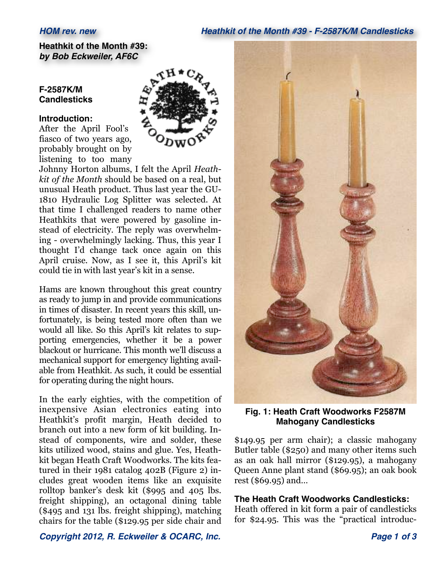### *HOM rev. new Heathkit of the Month #39 - F-2587K/M Candlesticks*

**Heathkit of the Month #39:** *by Bob Eckweiler, AF6C*

### **F-2587K/M Candlesticks**

### **Introduction:**

After the April Fool's fiasco of two years ago, probably brought on by listening to too many



Johnny Horton albums, I felt the April *Heathkit of the Month* should be based on a real, but unusual Heath product. Thus last year the GU-1810 Hydraulic Log Splitter was selected. At that time I challenged readers to name other Heathkits that were powered by gasoline instead of electricity. The reply was overwhelming - overwhelmingly lacking. Thus, this year I thought I'd change tack once again on this April cruise. Now, as I see it, this April's kit could tie in with last year's kit in a sense.

Hams are known throughout this great country as ready to jump in and provide communications in times of disaster. In recent years this skill, unfortunately, is being tested more often than we would all like. So this April's kit relates to supporting emergencies, whether it be a power blackout or hurricane. This month we'll discuss a mechanical support for emergency lighting available from Heathkit. As such, it could be essential for operating during the night hours.

In the early eighties, with the competition of inexpensive Asian electronics eating into Heathkit's profit margin, Heath decided to branch out into a new form of kit building. Instead of components, wire and solder, these kits utilized wood, stains and glue. Yes, Heathkit began Heath Craft Woodworks. The kits featured in their 1981 catalog 402B (Figure 2) includes great wooden items like an exquisite rolltop banker's desk kit (\$995 and 405 lbs. freight shipping), an octagonal dining table (\$495 and 131 lbs. freight shipping), matching chairs for the table (\$129.95 per side chair and



**Fig. 1: Heath Craft Woodworks F2587M Mahogany Candlesticks**

\$149.95 per arm chair); a classic mahogany Butler table (\$250) and many other items such as an oak hall mirror (\$129.95), a mahogany Queen Anne plant stand (\$69.95); an oak book rest (\$69.95) and…

### **The Heath Craft Woodworks Candlesticks:**

Heath offered in kit form a pair of candlesticks for \$24.95. This was the "practical introduc-

*Copyright 2012, R. Eckweiler & OCARC, Inc. Page 1 of 3*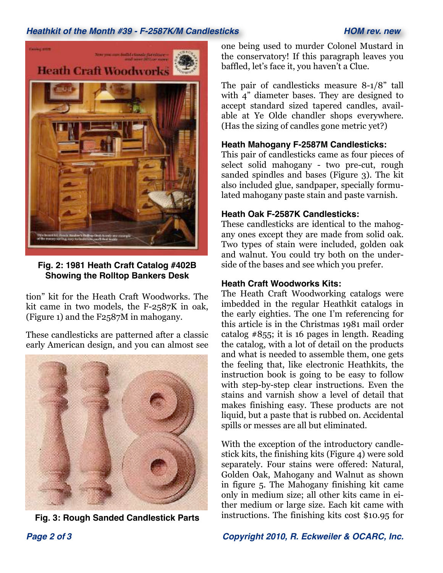# *Heathkit of the Month #39 - F-2587K/M Candlesticks HOM rev. new*



**Fig. 2: 1981 Heath Craft Catalog #402B Showing the Rolltop Bankers Desk**

tion" kit for the Heath Craft Woodworks. The kit came in two models, the F-2587K in oak, (Figure 1) and the F2587M in mahogany.

These candlesticks are patterned after a classic early American design, and you can almost see



**Fig. 3: Rough Sanded Candlestick Parts**

one being used to murder Colonel Mustard in the conservatory! If this paragraph leaves you baffled, let's face it, you haven't a Clue.

The pair of candlesticks measure 8-1/8" tall with 4" diameter bases. They are designed to accept standard sized tapered candles, available at Ye Olde chandler shops everywhere. (Has the sizing of candles gone metric yet?)

## **Heath Mahogany F-2587M Candlesticks:**

This pair of candlesticks came as four pieces of select solid mahogany - two pre-cut, rough sanded spindles and bases (Figure 3). The kit also included glue, sandpaper, specially formulated mahogany paste stain and paste varnish.

## **Heath Oak F-2587K Candlesticks:**

These candlesticks are identical to the mahogany ones except they are made from solid oak. Two types of stain were included, golden oak and walnut. You could try both on the underside of the bases and see which you prefer.

## **Heath Craft Woodworks Kits:**

The Heath Craft Woodworking catalogs were imbedded in the regular Heathkit catalogs in the early eighties. The one I'm referencing for this article is in the Christmas 1981 mail order catalog #855; it is 16 pages in length. Reading the catalog, with a lot of detail on the products and what is needed to assemble them, one gets the feeling that, like electronic Heathkits, the instruction book is going to be easy to follow with step-by-step clear instructions. Even the stains and varnish show a level of detail that makes finishing easy. These products are not liquid, but a paste that is rubbed on. Accidental spills or messes are all but eliminated.

With the exception of the introductory candlestick kits, the finishing kits (Figure 4) were sold separately. Four stains were offered: Natural, Golden Oak, Mahogany and Walnut as shown in figure 5. The Mahogany finishing kit came only in medium size; all other kits came in either medium or large size. Each kit came with instructions. The finishing kits cost \$10.95 for